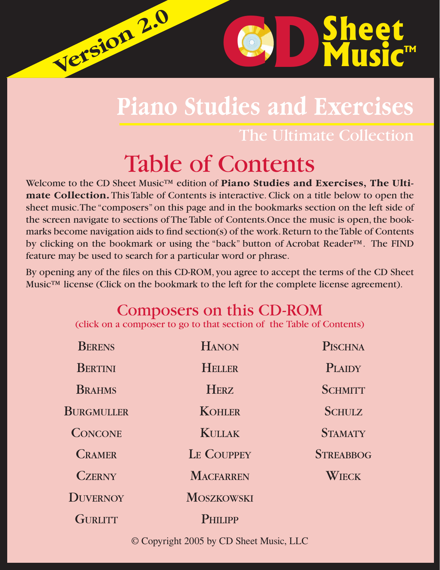# **Piano Studies and Exercises**

The Ultimate Collection

**D**Sheet

**C D** Sheet

# Table of Contents

**Version 2.0 Version 2.0**

Welcome to the CD Sheet Music™ edition of **Piano Studies and Exercises, The Ultimate Collection.** This Table of Contents is interactive. Click on a title below to open the sheet music. The "composers" on this page and in the bookmarks section on the left side of the screen navigate to sections of The Table of Contents.Once the music is open, the bookmarks become navigation aids to find section(s) of the work. Return to the Table of Contents by clicking on the bookmark or using the "back" button of Acrobat Reader™. The FIND feature may be used to search for a particular word or phrase.

By opening any of the files on this CD-ROM, you agree to accept the terms of the CD Sheet Music<sup>™</sup> license (Click on the bookmark to the left for the complete license agreement).

# Composers on this CD-ROM

(click on a composer to go to that section of the Table of Contents)

| <b>BERENS</b>   | <b>HANON</b>      | <b>PISCHNA</b>   |
|-----------------|-------------------|------------------|
| <b>BERTINI</b>  | <b>HELLER</b>     | <b>PLAIDY</b>    |
| <b>BRAHMS</b>   | <b>HERZ</b>       | <b>SCHMITT</b>   |
| BURGMULLER      | <b>KOHLER</b>     | <b>SCHULZ</b>    |
| <b>CONCONE</b>  | <b>KULLAK</b>     | <b>STAMATY</b>   |
| <b>CRAMER</b>   | LE COUPPEY        | <b>STREABBOG</b> |
| <b>CZERNY</b>   | <b>MACFARREN</b>  | WIECK            |
| <b>DUVERNOY</b> | <b>MOSZKOWSKI</b> |                  |
| <b>GURLITT</b>  | <b>PHILIPP</b>    |                  |

© Copyright 2005 by CD Sheet Music, LLC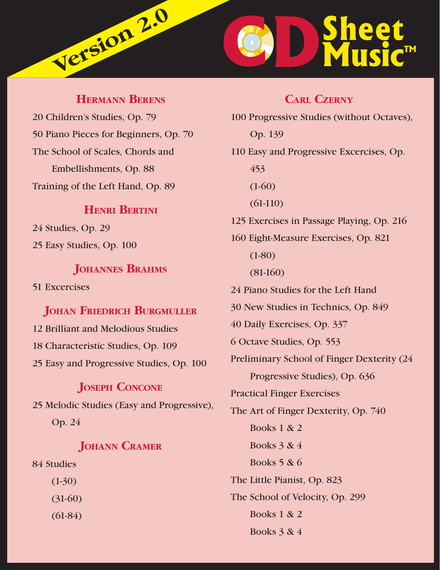# <span id="page-1-0"></span>**D**Sheet **C D** Sheet **Version 2.0**

# **HERMANN BERENS**

20 Children's Studies, Op. 79 50 Piano Pieces for Beginners, Op. 70 The School of Scales, Chords and Embellishments, Op. 88 Training of the Left Hand, Op. 89

# **HENRI BERTINI**

24 Studies, Op. 29 25 Easy Studies, Op. 100

# **JOHANNES BRAHMS**

51 Excercises

#### **JOHAN FRIEDRICH BURGMULLER**

12 Brilliant and Melodious Studies 18 Characteristic Studies, Op. 109 25 Easy and Progressive Studies, Op. 100

# **JOSEPH CONCONE** 25 Melodic Studies (Easy and Progressive),

Op. 24

### **JOHANN CRAMER**

84 Studies

 (1-30) (31-60) (61-84)

### **CARL CZERNY**

| 100 Progressive Studies (without Octaves), |
|--------------------------------------------|
| Op. 139                                    |
| 110 Easy and Progressive Excercises, Op.   |
| 453                                        |
| $(1-60)$                                   |
| $(61-110)$                                 |
| 125 Exercises in Passage Playing, Op. 216  |
| 160 Eight-Measure Exercises, Op. 821       |
| $(1-80)$                                   |
| $(81-160)$                                 |
| 24 Piano Studies for the Left Hand         |
| 30 New Studies in Technics, Op. 849        |
| 40 Daily Exercises, Op. 337                |
| 6 Octave Studies, Op. 553                  |
| Preliminary School of Finger Dexterity (24 |
| Progressive Studies), Op. 636              |
| <b>Practical Finger Exercises</b>          |
| The Art of Finger Dexterity, Op. 740       |
| <b>Books 1 &amp; 2</b>                     |
| Books $3 & 4$                              |
| Books $5 & 6$                              |
| The Little Pianist, Op. 823                |
| The School of Velocity, Op. 299            |
| <b>Books 1 &amp; 2</b>                     |
|                                            |

Books 3 & 4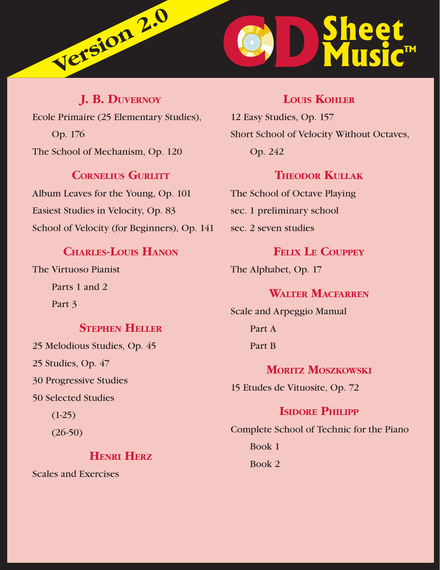<span id="page-2-0"></span>

**J. B. DUVERNOY** Ecole Primaire (25 Elementary Studies), Op. 176 The School of Mechanism, Op. 120

#### **CORNELIUS GURLITT**

Album Leaves for the Young, Op. 101 Easiest Studies in Velocity, Op. 83 School of Velocity (for Beginners), Op. 141

# **CHARLES-LOUIS HANON**

The Virtuoso Pianist Parts 1 and 2 Part 3

#### **STEPHEN HELLER**

25 Melodious Studies, Op. 45 25 Studies, Op. 47 30 Progressive Studies 50 Selected Studies

 $(1-25)$ 

(26-50)

#### **HENRI HERZ**

Scales and Exercises

# **LOUIS KOHLER**

12 Easy Studies, Op. 157 Short School of Velocity Without Octaves, Op. 242

#### **THEODOR KULLAK**

The School of Octave Playing sec. 1 preliminary school sec. 2 seven studies

#### **FELIX LE COUPPEY**

The Alphabet, Op. 17

#### **WALTER MACFARREN**

Scale and Arpeggio Manual Part A Part B

**MORITZ MOSZKOWSKI** 15 Etudes de Vituosite, Op. 72

# **ISIDORE PHILIPP**

Complete School of Technic for the Piano Book 1 Book 2